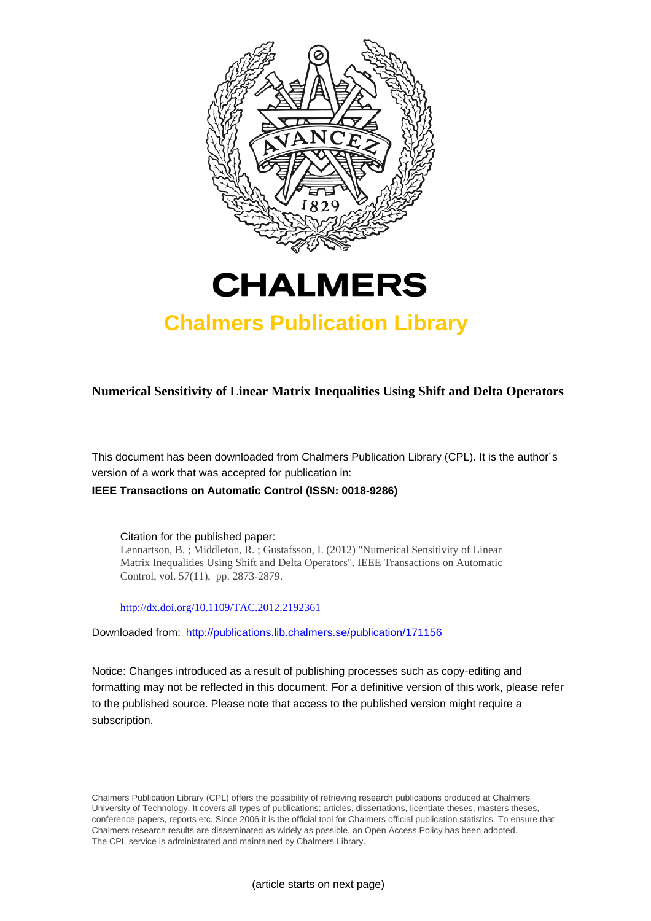



# **Chalmers Publication Library**

**Numerical Sensitivity of Linear Matrix Inequalities Using Shift and Delta Operators**

This document has been downloaded from Chalmers Publication Library (CPL). It is the author´s version of a work that was accepted for publication in:

# **IEEE Transactions on Automatic Control (ISSN: 0018-9286)**

Citation for the published paper: Lennartson, B. ; Middleton, R. ; Gustafsson, I. (2012) "Numerical Sensitivity of Linear Matrix Inequalities Using Shift and Delta Operators". IEEE Transactions on Automatic Control, vol. 57(11), pp. 2873-2879.

<http://dx.doi.org/10.1109/TAC.2012.2192361>

Downloaded from: <http://publications.lib.chalmers.se/publication/171156>

Notice: Changes introduced as a result of publishing processes such as copy-editing and formatting may not be reflected in this document. For a definitive version of this work, please refer to the published source. Please note that access to the published version might require a subscription.

Chalmers Publication Library (CPL) offers the possibility of retrieving research publications produced at Chalmers University of Technology. It covers all types of publications: articles, dissertations, licentiate theses, masters theses, conference papers, reports etc. Since 2006 it is the official tool for Chalmers official publication statistics. To ensure that Chalmers research results are disseminated as widely as possible, an Open Access Policy has been adopted. The CPL service is administrated and maintained by Chalmers Library.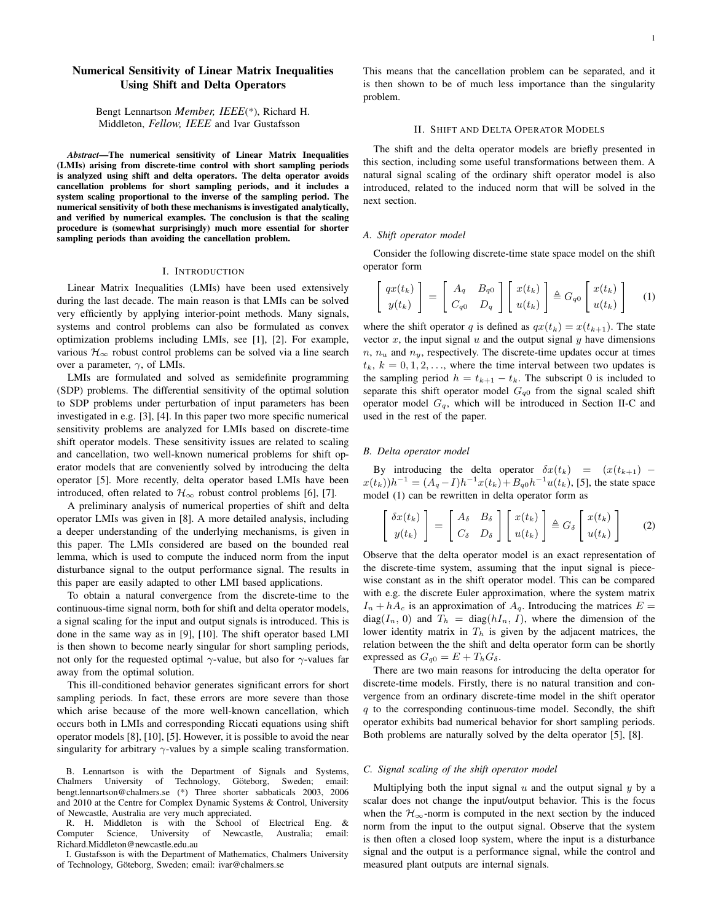# **Numerical Sensitivity of Linear Matrix Inequalities Using Shift and Delta Operators**

Bengt Lennartson *Member, IEEE*(\*), Richard H. Middleton, *Fellow, IEEE* and Ivar Gustafsson

*Abstract***—The numerical sensitivity of Linear Matrix Inequalities (LMIs) arising from discrete-time control with short sampling periods is analyzed using shift and delta operators. The delta operator avoids cancellation problems for short sampling periods, and it includes a system scaling proportional to the inverse of the sampling period. The numerical sensitivity of both these mechanisms is investigated analytically, and verified by numerical examples. The conclusion is that the scaling procedure is (somewhat surprisingly) much more essential for shorter sampling periods than avoiding the cancellation problem.**

#### I. INTRODUCTION

Linear Matrix Inequalities (LMIs) have been used extensively during the last decade. The main reason is that LMIs can be solved very efficiently by applying interior-point methods. Many signals, systems and control problems can also be formulated as convex optimization problems including LMIs, see [1], [2]. For example, various  $\mathcal{H}_{\infty}$  robust control problems can be solved via a line search over a parameter,  $\gamma$ , of LMIs.

LMIs are formulated and solved as semidefinite programming (SDP) problems. The differential sensitivity of the optimal solution to SDP problems under perturbation of input parameters has been investigated in e.g. [3], [4]. In this paper two more specific numerical sensitivity problems are analyzed for LMIs based on discrete-time shift operator models. These sensitivity issues are related to scaling and cancellation, two well-known numerical problems for shift operator models that are conveniently solved by introducing the delta operator [5]. More recently, delta operator based LMIs have been introduced, often related to  $\mathcal{H}_{\infty}$  robust control problems [6], [7].

A preliminary analysis of numerical properties of shift and delta operator LMIs was given in [8]. A more detailed analysis, including a deeper understanding of the underlying mechanisms, is given in this paper. The LMIs considered are based on the bounded real lemma, which is used to compute the induced norm from the input disturbance signal to the output performance signal. The results in this paper are easily adapted to other LMI based applications.

To obtain a natural convergence from the discrete-time to the continuous-time signal norm, both for shift and delta operator models, a signal scaling for the input and output signals is introduced. This is done in the same way as in [9], [10]. The shift operator based LMI is then shown to become nearly singular for short sampling periods, not only for the requested optimal  $\gamma$ -value, but also for  $\gamma$ -values far away from the optimal solution.

This ill-conditioned behavior generates significant errors for short sampling periods. In fact, these errors are more severe than those which arise because of the more well-known cancellation, which occurs both in LMIs and corresponding Riccati equations using shift operator models [8], [10], [5]. However, it is possible to avoid the near singularity for arbitrary  $\gamma$ -values by a simple scaling transformation.

B. Lennartson is with the Department of Signals and Systems, Chalmers University of Technology, Göteborg, Sweden; email: bengt.lennartson@chalmers.se (\*) Three shorter sabbaticals 2003, 2006 and 2010 at the Centre for Complex Dynamic Systems & Control, University of Newcastle, Australia are very much appreciated.

R. H. Middleton is with the School of Electrical Eng. & Computer Science, University of Newcastle, Australia; email: Richard.Middleton@newcastle.edu.au

I. Gustafsson is with the Department of Mathematics, Chalmers University of Technology, Göteborg, Sweden; email: ivar@chalmers.se

This means that the cancellation problem can be separated, and it is then shown to be of much less importance than the singularity problem.

### II. SHIFT AND DELTA OPERATOR MODELS

The shift and the delta operator models are briefly presented in this section, including some useful transformations between them. A natural signal scaling of the ordinary shift operator model is also introduced, related to the induced norm that will be solved in the next section.

#### *A. Shift operator model*

Consider the following discrete-time state space model on the shift operator form

$$
\begin{bmatrix} qx(t_k) \\ y(t_k) \end{bmatrix} = \begin{bmatrix} A_q & B_{q0} \\ C_{q0} & D_q \end{bmatrix} \begin{bmatrix} x(t_k) \\ u(t_k) \end{bmatrix} \triangleq G_{q0} \begin{bmatrix} x(t_k) \\ u(t_k) \end{bmatrix} \quad (1)
$$

where the shift operator q is defined as  $qx(t_k) = x(t_{k+1})$ . The state vector  $x$ , the input signal  $u$  and the output signal  $y$  have dimensions  $n, n_u$  and  $n_u$ , respectively. The discrete-time updates occur at times  $t_k$ ,  $k = 0, 1, 2, \ldots$ , where the time interval between two updates is the sampling period  $h = t_{k+1} - t_k$ . The subscript 0 is included to separate this shift operator model  $G_{q0}$  from the signal scaled shift operator model  $G_q$ , which will be introduced in Section II-C and used in the rest of the paper.

#### *B. Delta operator model*

By introducing the delta operator  $\delta x(t_k) = (x(t_{k+1})$  $x(t_k))h^{-1} = (A_q - I)h^{-1}x(t_k) + B_{q0}h^{-1}u(t_k)$ , [5], the state space model (1) can be rewritten in delta operator form as

$$
\begin{bmatrix}\n\delta x(t_k) \\
y(t_k)\n\end{bmatrix} = \begin{bmatrix}\nA_\delta & B_\delta \\
C_\delta & D_\delta\n\end{bmatrix} \begin{bmatrix}\nx(t_k) \\
u(t_k)\n\end{bmatrix} \triangleq G_\delta \begin{bmatrix}\nx(t_k) \\
u(t_k)\n\end{bmatrix} \tag{2}
$$

Observe that the delta operator model is an exact representation of the discrete-time system, assuming that the input signal is piecewise constant as in the shift operator model. This can be compared with e.g. the discrete Euler approximation, where the system matrix  $I_n + hA_c$  is an approximation of  $A_q$ . Introducing the matrices  $E =$  $diag(I_n, 0)$  and  $T_h = diag(hI_n, I)$ , where the dimension of the lower identity matrix in  $T<sub>h</sub>$  is given by the adjacent matrices, the relation between the the shift and delta operator form can be shortly expressed as  $G_{q0} = E + T_h G_{\delta}$ .

There are two main reasons for introducing the delta operator for discrete-time models. Firstly, there is no natural transition and convergence from an ordinary discrete-time model in the shift operator  $q$  to the corresponding continuous-time model. Secondly, the shift operator exhibits bad numerical behavior for short sampling periods. Both problems are naturally solved by the delta operator [5], [8].

## *C. Signal scaling of the shift operator model*

Multiplying both the input signal  $u$  and the output signal  $y$  by a scalar does not change the input/output behavior. This is the focus when the  $\mathcal{H}_{\infty}$ -norm is computed in the next section by the induced norm from the input to the output signal. Observe that the system is then often a closed loop system, where the input is a disturbance signal and the output is a performance signal, while the control and measured plant outputs are internal signals.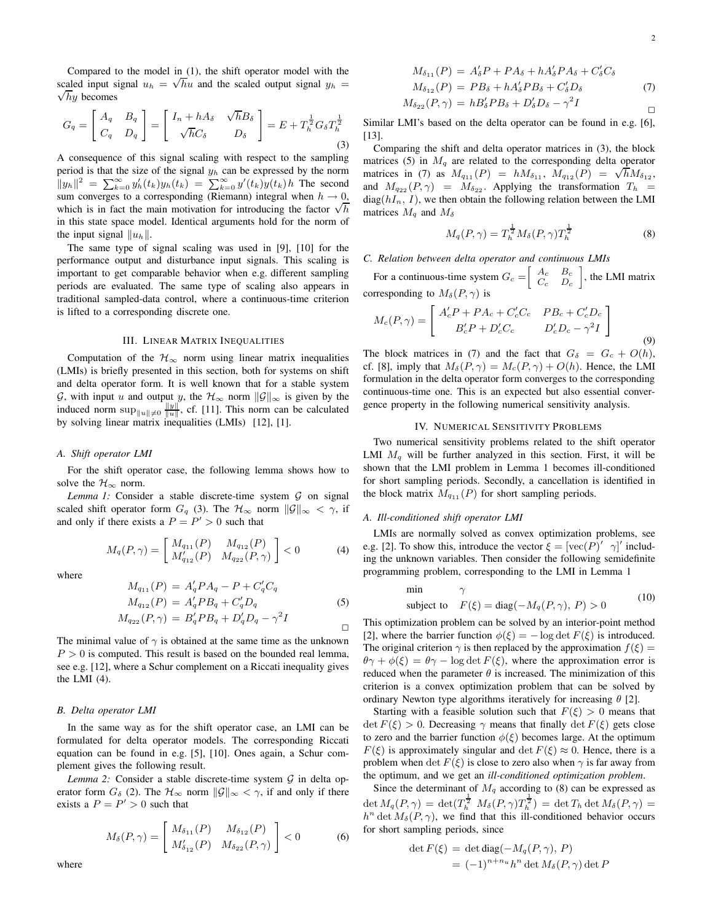Compared to the model in (1), the shift operator model with the scaled input signal  $u_h = \sqrt{h}u$  and the scaled output signal  $y_h$  =  $\sqrt{h}y$  becomes

$$
G_q = \begin{bmatrix} A_q & B_q \\ C_q & D_q \end{bmatrix} = \begin{bmatrix} I_n + hA_\delta & \sqrt{h}B_\delta \\ \sqrt{h}C_\delta & D_\delta \end{bmatrix} = E + T_h^{\frac{1}{2}} G_\delta T_h^{\frac{1}{2}} \tag{3}
$$

A consequence of this signal scaling with respect to the sampling period is that the size of the signal  $y_h$  can be expressed by the norm  $||y_h||^2 = \sum_{k=0}^{\infty} y_h'(t_k) y_h(t_k) = \sum_{k=0}^{\infty} y'(t_k) y(t_k) h$  The second sum converges to a corresponding (Riemann) integral when  $h \to 0$ , which is in fact the main motivation for introducing the factor  $\sqrt{h}$ in this state space model. Identical arguments hold for the norm of the input signal  $||u_h||$ .

The same type of signal scaling was used in [9], [10] for the performance output and disturbance input signals. This scaling is important to get comparable behavior when e.g. different sampling periods are evaluated. The same type of scaling also appears in traditional sampled-data control, where a continuous-time criterion is lifted to a corresponding discrete one.

#### III. LINEAR MATRIX INEQUALITIES

Computation of the  $\mathcal{H}_{\infty}$  norm using linear matrix inequalities (LMIs) is briefly presented in this section, both for systems on shift and delta operator form. It is well known that for a stable system G, with input u and output y, the  $\mathcal{H}_{\infty}$  norm  $||\mathcal{G}||_{\infty}$  is given by the induced norm  $\sup_{\|u\| \neq 0} \frac{\|y\|}{\|u\|}$ , cf. [11]. This norm can be calculated by solving linear matrix inequalities (LMIs) [12], [1].

#### *A. Shift operator LMI*

For the shift operator case, the following lemma shows how to solve the  $H_{\infty}$  norm.

*Lemma 1:* Consider a stable discrete-time system  $G$  on signal scaled shift operator form  $G_q$  (3). The  $\mathcal{H}_{\infty}$  norm  $||\mathcal{G}||_{\infty} < \gamma$ , if and only if there exists a  $P = P' > 0$  such that

$$
M_q(P,\gamma) = \begin{bmatrix} M_{q_{11}}(P) & M_{q_{12}}(P) \\ M'_{q_{12}}(P) & M_{q_{22}}(P,\gamma) \end{bmatrix} < 0
$$
 (4)

where

$$
M_{q_{11}}(P) = A'_q P A_q - P + C'_q C_q
$$
  
\n
$$
M_{q_{12}}(P) = A'_q P B_q + C'_q D_q
$$
  
\n
$$
M_{q_{22}}(P, \gamma) = B'_q P B_q + D'_q D_q - \gamma^2 I
$$
\n(5)

 $\Box$ 

The minimal value of  $\gamma$  is obtained at the same time as the unknown  $P > 0$  is computed. This result is based on the bounded real lemma, see e.g. [12], where a Schur complement on a Riccati inequality gives the LMI (4).

#### *B. Delta operator LMI*

In the same way as for the shift operator case, an LMI can be formulated for delta operator models. The corresponding Riccati equation can be found in e.g. [5], [10]. Ones again, a Schur complement gives the following result.

*Lemma* 2: Consider a stable discrete-time system  $G$  in delta operator form  $G_{\delta}$  (2). The  $\mathcal{H}_{\infty}$  norm  $\|\mathcal{G}\|_{\infty} < \gamma$ , if and only if there exists a  $P = P' > 0$  such that

$$
M_{\delta}(P,\gamma) = \begin{bmatrix} M_{\delta_{11}}(P) & M_{\delta_{12}}(P) \\ M'_{\delta_{12}}(P) & M_{\delta_{22}}(P,\gamma) \end{bmatrix} < 0
$$
 (6)

where

$$
M_{\delta_{11}}(P) = A_{\delta}'P + PA_{\delta} + hA_{\delta}'PA_{\delta} + C_{\delta}'C_{\delta}
$$

$$
M_{\delta_{12}}(P) = PB_{\delta} + hA_{\delta}'PB_{\delta} + C_{\delta}'D_{\delta}
$$
\n
$$
A \quad (B \circ ) = hP'BB + P'D = \delta^{2}I
$$
\n
$$
(7)
$$

$$
M_{\delta_{22}}(P,\gamma) = hB'_{\delta}PB_{\delta} + D'_{\delta}D_{\delta} - \gamma^2 I
$$

Similar LMI's based on the delta operator can be found in e.g. [6], [13].

Comparing the shift and delta operator matrices in (3), the block matrices (5) in  $M<sub>q</sub>$  are related to the corresponding delta operator matrices in (7) as  $M_{q_{11}}(P) = hM_{\delta_{11}}$ ,  $M_{q_{12}}(P) = \sqrt{h}M_{\delta_{12}}$ , and  $M_{q_{22}}(P, \gamma) = M_{\delta_{22}}$ . Applying the transformation  $T_h$  =  $diag(hI_n, I)$ , we then obtain the following relation between the LMI matrices  $M_q$  and  $M_\delta$ 

$$
M_q(P,\gamma) = T_h^{\frac{1}{2}} M_\delta(P,\gamma) T_h^{\frac{1}{2}}
$$
 (8)

#### *C. Relation between delta operator and continuous LMIs*

For a continuous-time system  $G_c = \begin{bmatrix} A_c & B_c \ C & D \end{bmatrix}$  $\begin{bmatrix} A_c & D_c \\ C_c & D_c \end{bmatrix}$ , the LMI matrix corresponding to  $M_{\delta}(P,\gamma)$  is

$$
M_c(P,\gamma) = \begin{bmatrix} A_c'P + PA_c + C_c'C_c & PB_c + C_c'D_c \\ B_c'P + D_c'C_c & D_c'D_c - \gamma^2 I \end{bmatrix}
$$
(9)

The block matrices in (7) and the fact that  $G_{\delta} = G_c + O(h)$ , cf. [8], imply that  $M_{\delta}(P, \gamma) = M_c(P, \gamma) + O(h)$ . Hence, the LMI formulation in the delta operator form converges to the corresponding continuous-time one. This is an expected but also essential convergence property in the following numerical sensitivity analysis.

#### IV. NUMERICAL SENSITIVITY PROBLEMS

Two numerical sensitivity problems related to the shift operator LMI  $M_q$  will be further analyzed in this section. First, it will be shown that the LMI problem in Lemma 1 becomes ill-conditioned for short sampling periods. Secondly, a cancellation is identified in the block matrix  $M_{q_{11}}(P)$  for short sampling periods.

#### *A. Ill-conditioned shift operator LMI*

LMIs are normally solved as convex optimization problems, see e.g. [2]. To show this, introduce the vector  $\xi = [\text{vec}(P)^\prime \ \gamma]^\prime$  including the unknown variables. Then consider the following semidefinite programming problem, corresponding to the LMI in Lemma 1

$$
\begin{array}{ll}\n\text{min} & \gamma \\
\text{subject to} & F(\xi) = \text{diag}(-M_q(P, \gamma), \, P) > 0\n\end{array} \tag{10}
$$

This optimization problem can be solved by an interior-point method [2], where the barrier function  $\phi(\xi) = -\log \det F(\xi)$  is introduced. The original criterion  $\gamma$  is then replaced by the approximation  $f(\xi) =$  $\theta \gamma + \phi(\xi) = \theta \gamma - \log \det F(\xi)$ , where the approximation error is reduced when the parameter  $\theta$  is increased. The minimization of this criterion is a convex optimization problem that can be solved by ordinary Newton type algorithms iteratively for increasing  $\theta$  [2].

Starting with a feasible solution such that  $F(\xi) > 0$  means that  $\det F(\xi) > 0$ . Decreasing  $\gamma$  means that finally  $\det F(\xi)$  gets close to zero and the barrier function  $\phi(\xi)$  becomes large. At the optimum  $F(\xi)$  is approximately singular and  $\det F(\xi) \approx 0$ . Hence, there is a problem when det  $F(\xi)$  is close to zero also when  $\gamma$  is far away from the optimum, and we get an *ill-conditioned optimization problem*.

Since the determinant of  $M_q$  according to (8) can be expressed as  $\det M_q(P,\gamma) \,=\, \det(T_h^{\tfrac{1}{2}}\,\,M_\delta(P,\gamma) T_h^{\tfrac{1}{2}}) \,=\, \det T_h \det M_\delta(P,\gamma) \,=\,$  $h^n$  det  $M_\delta(P,\gamma)$ , we find that this ill-conditioned behavior occurs for short sampling periods, since

$$
\det F(\xi) = \det \operatorname{diag}(-M_q(P, \gamma), P)
$$
  
=  $(-1)^{n+n_u} h^n \det M_\delta(P, \gamma) \det P$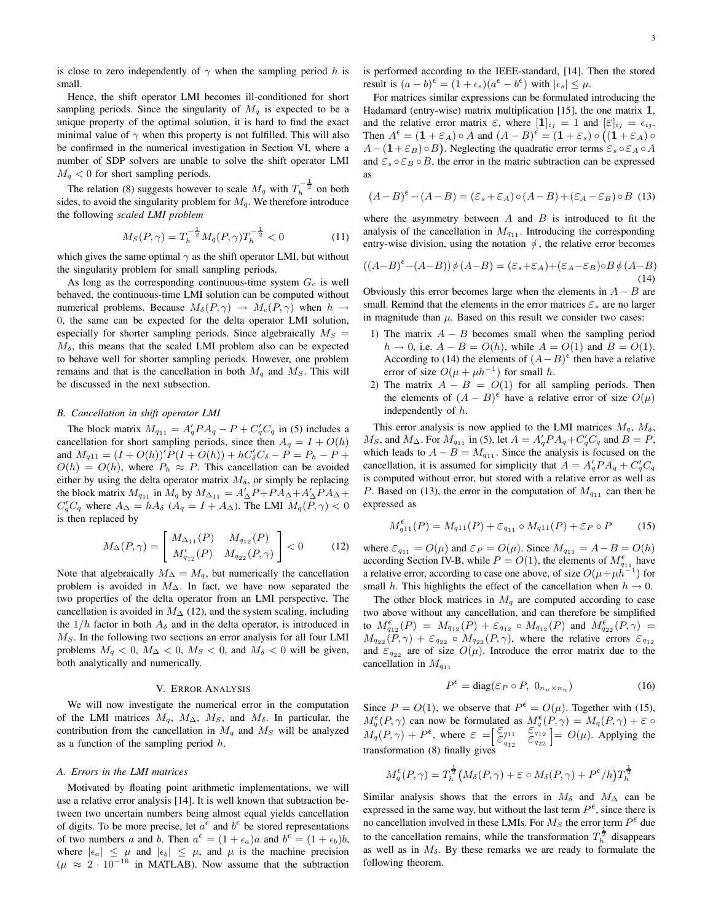is close to zero independently of  $\gamma$  when the sampling period h is small.

Hence, the shift operator LMI becomes ill-conditioned for short sampling periods. Since the singularity of  $M_q$  is expected to be a unique property of the optimal solution, it is hard to find the exact minimal value of  $\gamma$  when this property is not fulfilled. This will also be confirmed in the numerical investigation in Section VI, where a number of SDP solvers are unable to solve the shift operator LMI  $M_q < 0$  for short sampling periods.

The relation (8) suggests however to scale  $M_q$  with  $T_h^{-\frac{1}{2}}$  on both sides, to avoid the singularity problem for  $M_q$ . We therefore introduce the following *scaled LMI problem*

$$
M_S(P,\gamma) = T_h^{-\frac{1}{2}} M_q(P,\gamma) T_h^{-\frac{1}{2}} < 0 \tag{11}
$$

which gives the same optimal  $\gamma$  as the shift operator LMI, but without the singularity problem for small sampling periods.

As long as the corresponding continuous-time system  $G_c$  is well behaved, the continuous-time LMI solution can be computed without numerical problems. Because  $M_{\delta}(P, \gamma) \rightarrow M_c(P, \gamma)$  when  $h \rightarrow$ 0, the same can be expected for the delta operator LMI solution, especially for shorter sampling periods. Since algebraically  $M_S =$  $M_{\delta}$ , this means that the scaled LMI problem also can be expected to behave well for shorter sampling periods. However, one problem remains and that is the cancellation in both  $M_q$  and  $M_s$ . This will be discussed in the next subsection.

#### *B. Cancellation in shift operator LMI*

The block matrix  $M_{q_{11}} = A'_q P A_q - P + C'_q C_q$  in (5) includes a cancellation for short sampling periods, since then  $A_q = I + O(h)$ and  $M_{q11} = (I + O(h))'P(I + O(h)) + hC'_{\delta}C_{\delta} - P = P_h - P +$  $O(h) = O(h)$ , where  $P_h \approx P$ . This cancellation can be avoided either by using the delta operator matrix  $M_{\delta}$ , or simply be replacing the block matrix  $M_{q_{11}}$  in  $M_q$  by  $M_{\Delta_{11}} = A'_{\Delta}P + PA_{\Delta} + A'_{\Delta}PA_{\Delta} +$  $C_q' C_q$  where  $A_\Delta = h A_\delta$  ( $A_q = I + A_\Delta$ ). The LMI  $M_q(P, \gamma) < 0$ is then replaced by

$$
M_{\Delta}(P,\gamma) = \begin{bmatrix} M_{\Delta_{11}}(P) & M_{q_{12}}(P) \\ M'_{q_{12}}(P) & M_{q_{22}}(P,\gamma) \end{bmatrix} < 0
$$
 (12)

Note that algebraically  $M_{\Delta} = M_q$ , but numerically the cancellation problem is avoided in  $M_{\Delta}$ . In fact, we have now separated the two properties of the delta operator from an LMI perspective. The cancellation is avoided in  $M<sub>∆</sub>$  (12), and the system scaling, including the  $1/h$  factor in both  $A_\delta$  and in the delta operator, is introduced in  $M<sub>S</sub>$ . In the following two sections an error analysis for all four LMI problems  $M_q < 0$ ,  $M_\Delta < 0$ ,  $M_S < 0$ , and  $M_\delta < 0$  will be given, both analytically and numerically.

#### V. ERROR ANALYSIS

We will now investigate the numerical error in the computation of the LMI matrices  $M_q$ ,  $M_\Delta$ ,  $M_S$ , and  $M_\delta$ . In particular, the contribution from the cancellation in  $M_q$  and  $M_s$  will be analyzed as a function of the sampling period  $h$ .

## *A. Errors in the LMI matrices*

Motivated by floating point arithmetic implementations, we will use a relative error analysis [14]. It is well known that subtraction between two uncertain numbers being almost equal yields cancellation of digits. To be more precise, let  $a^{\epsilon}$  and  $b^{\epsilon}$  be stored representations of two numbers a and b. Then  $a^{\epsilon} = (1 + \epsilon_a)a$  and  $b^{\epsilon} = (1 + \epsilon_b)b$ , where  $|\epsilon_a| \leq \mu$  and  $|\epsilon_b| \leq \mu$ , and  $\mu$  is the machine precision  $(\mu \approx 2 \cdot 10^{-16}$  in MATLAB). Now assume that the subtraction is performed according to the IEEE-standard, [14]. Then the stored result is  $(a - b)^{\epsilon} = (1 + \epsilon_s)(a^{\epsilon} - b^{\epsilon})$  with  $|\epsilon_s| \leq \mu$ .

For matrices similar expressions can be formulated introducing the Hadamard (entry-wise) matrix multiplication [15], the one matrix  $1$ , and the relative error matrix  $\varepsilon$ , where  $[1]_{ij} = 1$  and  $[\varepsilon]_{ij} = \varepsilon_{ij}$ . Then  $A^{\epsilon} = (1 + \varepsilon_A) \circ A$  and  $(A - B)^{\epsilon} = (1 + \varepsilon_s) \circ ((1 + \varepsilon_A) \circ A)$  $A - (1 + \varepsilon_B) \circ B$ . Neglecting the quadratic error terms  $\varepsilon_s \circ \varepsilon_A \circ A$ and  $\varepsilon_s \circ \varepsilon_B \circ B$ , the error in the matric subtraction can be expressed as

$$
(A - B)^{\epsilon} - (A - B) = (\varepsilon_s + \varepsilon_A) \circ (A - B) + (\varepsilon_A - \varepsilon_B) \circ B \tag{13}
$$

where the asymmetry between  $A$  and  $B$  is introduced to fit the analysis of the cancellation in  $M_{q_{11}}$ . Introducing the corresponding entry-wise division, using the notation  $\phi$ , the relative error becomes

$$
((A-B)^{\epsilon}-(A-B))\phi(A-B)=(\varepsilon_{s}+\varepsilon_{A})+(\varepsilon_{A}-\varepsilon_{B})\circ B\phi(A-B)
$$
\n(14)

Obviously this error becomes large when the elements in  $A - B$  are small. Remind that the elements in the error matrices  $\varepsilon_*$  are no larger in magnitude than  $\mu$ . Based on this result we consider two cases:

- 1) The matrix  $A B$  becomes small when the sampling period  $h \rightarrow 0$ , i.e.  $A - B = O(h)$ , while  $A = O(1)$  and  $B = O(1)$ . According to (14) the elements of  $(A - B)^{\epsilon}$  then have a relative error of size  $O(\mu + \mu h^{-1})$  for small h.
- 2) The matrix  $A B = O(1)$  for all sampling periods. Then the elements of  $(A - B)^{\epsilon}$  have a relative error of size  $O(\mu)$ independently of h.

This error analysis is now applied to the LMI matrices  $M_q$ ,  $M_\delta$ ,  $M_S$ , and  $M_\Delta$ . For  $M_{q_{11}}$  in (5), let  $A = A'_q P A_q + C'_q C_q$  and  $B = P$ , which leads to  $A - B = M_{q_{11}}$ . Since the analysis is focused on the cancellation, it is assumed for simplicity that  $A = A'_q P A_q + C'_q C_q$ is computed without error, but stored with a relative error as well as P. Based on (13), the error in the computation of  $M_{q_{11}}$  can then be expressed as

$$
M_{q11}^{\epsilon}(P) = M_{q11}(P) + \varepsilon_{q_{11}} \circ M_{q11}(P) + \varepsilon_P \circ P \tag{15}
$$

where  $\varepsilon_{q_{11}} = O(\mu)$  and  $\varepsilon_P = O(\mu)$ . Since  $M_{q_{11}} = A - B = O(h)$ according Section IV-B, while  $P = O(1)$ , the elements of  $M_{q_{11}}^{\epsilon}$  have a relative error, according to case one above, of size  $O(\mu + \mu h^{-1})$  for small h. This highlights the effect of the cancellation when  $h \to 0$ .

The other block matrices in  $M_q$  are computed according to case two above without any cancellation, and can therefore be simplified to  $M_{q_{12}}^{\epsilon}(P) = M_{q_{12}}(P) + \varepsilon_{q_{12}} \circ M_{q_{12}}(P)$  and  $M_{q_{22}}^{\epsilon}(P,\gamma) = M_{q_{22}}(P,\gamma) + \varepsilon_{q_{22}} \circ M_{q_{22}}(P,\gamma)$ , where the relative errors  $\varepsilon_{q_{12}}$ and  $\varepsilon_{q_{22}}$  are of size  $O(\mu)$ . Introduce the error matrix due to the cancellation in  $M_{q_{11}}$ 

$$
P^{\epsilon} = \text{diag}(\varepsilon_P \circ P, \ 0_{n_u \times n_u}) \tag{16}
$$

Since  $P = O(1)$ , we observe that  $P^{\epsilon} = O(\mu)$ . Together with (15),  $M_q^{\epsilon}(P,\gamma)$  can now be formulated as  $M_q^{\epsilon}(P,\gamma) = M_q(P,\gamma) + \epsilon$  $M_q(P, \gamma)$  can now be formulated as  $M_q(P, \gamma) = M_q(P, \gamma) + \varepsilon$  or<br> $M_q(P, \gamma) + P^{\epsilon}$ , where  $\varepsilon = \left[\frac{\varepsilon_{q_{11}}}{\varepsilon_{q_{12}}'} \right] \frac{\varepsilon_{q_{12}}}{\varepsilon_{q_{22}}'} = O(\mu)$ . Applying the transformation (8) finally gives

$$
M_q^{\epsilon}(P,\gamma)=T_h^{\frac{1}{2}}\big(M_{\delta}(P,\gamma)+\varepsilon\circ M_{\delta}(P,\gamma)+P^{\epsilon}/h\big)T_h^{\frac{1}{2}}
$$

Similar analysis shows that the errors in  $M_\delta$  and  $M_\Delta$  can be expressed in the same way, but without the last term  $P^{\epsilon}$ , since there is no cancellation involved in these LMIs. For  $M_S$  the error term  $P^{\epsilon}$  due to the cancellation remains, while the transformation  $T_h^{\frac{1}{2}}$  disappears as well as in  $M_{\delta}$ . By these remarks we are ready to formulate the following theorem.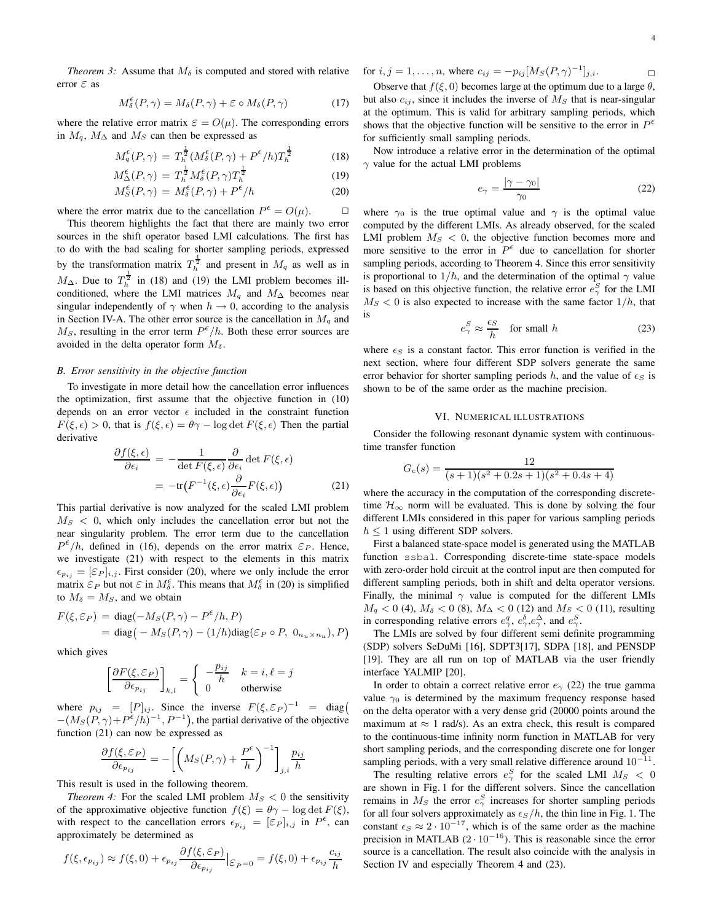*Theorem 3:* Assume that  $M_{\delta}$  is computed and stored with relative error  $\varepsilon$  as

$$
M_{\delta}^{\epsilon}(P,\gamma) = M_{\delta}(P,\gamma) + \varepsilon \circ M_{\delta}(P,\gamma) \tag{17}
$$

where the relative error matrix  $\varepsilon = O(\mu)$ . The corresponding errors in  $M_q$ ,  $M_\Delta$  and  $M_S$  can then be expressed as

$$
M_q^{\epsilon}(P,\gamma) = T_h^{\frac{1}{2}} (M_\delta^{\epsilon}(P,\gamma) + P^{\epsilon}/h) T_h^{\frac{1}{2}}
$$
 (18)

$$
M^{\epsilon}_{\Delta}(P,\gamma) = T^{\frac{1}{2}}_{h} M^{\epsilon}_{\delta}(P,\gamma) T^{\frac{1}{2}}_{h}
$$
 (19)

$$
M_S^{\epsilon}(P,\gamma) = M_{\delta}^{\epsilon}(P,\gamma) + P^{\epsilon}/h \tag{20}
$$

where the error matrix due to the cancellation  $P^{\epsilon} = O(\mu)$ .  $\Box$ 

This theorem highlights the fact that there are mainly two error sources in the shift operator based LMI calculations. The first has to do with the bad scaling for shorter sampling periods, expressed by the transformation matrix  $T_h^{\frac{1}{2}}$  and present in  $M_q$  as well as in  $M_{\Delta}$ . Due to  $T_h^{\frac{1}{2}}$  in (18) and (19) the LMI problem becomes illconditioned, where the LMI matrices  $M_q$  and  $M_\Delta$  becomes near singular independently of  $\gamma$  when  $h \to 0$ , according to the analysis in Section IV-A. The other error source is the cancellation in  $M_q$  and  $M<sub>S</sub>$ , resulting in the error term  $P^{\epsilon}/h$ . Both these error sources are avoided in the delta operator form  $M_{\delta}$ .

## *B. Error sensitivity in the objective function*

To investigate in more detail how the cancellation error influences the optimization, first assume that the objective function in (10) depends on an error vector  $\epsilon$  included in the constraint function  $F(\xi, \epsilon) > 0$ , that is  $f(\xi, \epsilon) = \theta \gamma - \log \det F(\xi, \epsilon)$  Then the partial derivative

$$
\frac{\partial f(\xi,\epsilon)}{\partial \epsilon_i} = -\frac{1}{\det F(\xi,\epsilon)} \frac{\partial}{\partial \epsilon_i} \det F(\xi,\epsilon)
$$

$$
= -\text{tr}(F^{-1}(\xi,\epsilon) \frac{\partial}{\partial \epsilon_i} F(\xi,\epsilon)) \tag{21}
$$

This partial derivative is now analyzed for the scaled LMI problem  $M<sub>S</sub> < 0$ , which only includes the cancellation error but not the near singularity problem. The error term due to the cancellation  $P^{\epsilon}/h$ , defined in (16), depends on the error matrix  $\varepsilon_P$ . Hence, we investigate (21) with respect to the elements in this matrix  $\epsilon_{p_{ij}} = [\varepsilon_P]_{i,j}$ . First consider (20), where we only include the error  $\lim_{\delta \to 0}$  [er [i,]. This consider (20), where we only meadow the end-<br>matrix  $\varepsilon_P$  but not  $\varepsilon$  in  $M_\delta^{\varepsilon}$ . This means that  $M_\delta^{\varepsilon}$  in (20) is simplified to  $M_{\delta} = M_S$ , and we obtain

$$
F(\xi, \varepsilon_P) = \text{diag}(-M_S(P, \gamma) - P^{\varepsilon}/h, P)
$$
  
= diag(-M\_S(P, \gamma) - (1/h)\text{diag}(\varepsilon\_P \circ P, 0\_{n\_u \times n\_u}), P)

which gives

$$
\left[\frac{\partial F(\xi, \mathcal{E}_P)}{\partial \epsilon_{p_{ij}}}\right]_{k,l} = \begin{cases} -\frac{p_{ij}}{h} & k = i, \ell = j\\ 0 & \text{otherwise} \end{cases}
$$

where  $p_{ij} = [P]_{ij}$ . Since the inverse  $F(\xi, \mathcal{E}_P)^{-1} = \text{diag}(\begin{array}{c} V_i \\ 0 \end{array})$  $-(M_S(P, \gamma) + P^{\epsilon}/h)^{-1}, P^{-1})$ , the partial derivative of the objective function (21) can now be expressed as

$$
\frac{\partial f(\xi, \varepsilon_P)}{\partial \epsilon_{p_{ij}}} = -\left[ \left(M_S(P, \gamma) + \frac{P^{\epsilon}}{h}\right)^{-1} \right]_{j,i} \frac{p_{ij}}{h}
$$

This result is used in the following theorem.

*Theorem 4:* For the scaled LMI problem  $M<sub>S</sub> < 0$  the sensitivity of the approximative objective function  $f(\xi) = \theta \gamma - \log \det F(\xi)$ , with respect to the cancellation errors  $\epsilon_{p_{ij}} = [\varepsilon_P]_{i,j}$  in  $P^{\epsilon}$ , can approximately be determined as

$$
f(\xi, \epsilon_{p_{ij}}) \approx f(\xi, 0) + \epsilon_{p_{ij}} \frac{\partial f(\xi, \epsilon_P)}{\partial \epsilon_{p_{ij}}} \Big|_{\epsilon_P = 0} = f(\xi, 0) + \epsilon_{p_{ij}} \frac{c_{ij}}{h}
$$

for  $i, j = 1, ..., n$ , where  $c_{ij} = -p_{ij} [M_S(P, \gamma)^{-1}]_{j,i}$ .

Observe that  $f(\xi, 0)$  becomes large at the optimum due to a large  $\theta$ , but also  $c_{ij}$ , since it includes the inverse of  $M<sub>S</sub>$  that is near-singular at the optimum. This is valid for arbitrary sampling periods, which shows that the objective function will be sensitive to the error in  $P^{\epsilon}$ for sufficiently small sampling periods.

Now introduce a relative error in the determination of the optimal  $\gamma$  value for the actual LMI problems

$$
e_{\gamma} = \frac{|\gamma - \gamma_0|}{\gamma_0} \tag{22}
$$

where  $\gamma_0$  is the true optimal value and  $\gamma$  is the optimal value computed by the different LMIs. As already observed, for the scaled LMI problem  $M<sub>S</sub> < 0$ , the objective function becomes more and more sensitive to the error in  $P^{\epsilon}$  due to cancellation for shorter sampling periods, according to Theorem 4. Since this error sensitivity is proportional to  $1/h$ , and the determination of the optimal  $\gamma$  value is based on this objective function, the relative error  $e^S_\gamma$  for the LMI  $M<sub>S</sub> < 0$  is also expected to increase with the same factor  $1/h$ , that is

$$
e_{\gamma}^{S} \approx \frac{\epsilon_{S}}{h} \quad \text{for small } h \tag{23}
$$

where  $\epsilon_S$  is a constant factor. This error function is verified in the next section, where four different SDP solvers generate the same error behavior for shorter sampling periods h, and the value of  $\epsilon_S$  is shown to be of the same order as the machine precision.

#### VI. NUMERICAL ILLUSTRATIONS

Consider the following resonant dynamic system with continuoustime transfer function

$$
G_c(s) = \frac{12}{(s+1)(s^2+0.2s+1)(s^2+0.4s+4)}
$$

where the accuracy in the computation of the corresponding discretetime  $\mathcal{H}_{\infty}$  norm will be evaluated. This is done by solving the four different LMIs considered in this paper for various sampling periods  $h \leq 1$  using different SDP solvers.

First a balanced state-space model is generated using the MATLAB function ssbal. Corresponding discrete-time state-space models with zero-order hold circuit at the control input are then computed for different sampling periods, both in shift and delta operator versions. Finally, the minimal  $\gamma$  value is computed for the different LMIs  $M_q$  < 0 (4),  $M_\delta$  < 0 (8),  $M_\Delta$  < 0 (12) and  $M_S$  < 0 (11), resulting in corresponding relative errors  $e^q_\gamma$ ,  $e^\delta_\gamma$ ,  $e^\Delta_\gamma$ , and  $e^S_\gamma$ .

The LMIs are solved by four different semi definite programming (SDP) solvers SeDuMi [16], SDPT3[17], SDPA [18], and PENSDP [19]. They are all run on top of MATLAB via the user friendly interface YALMIP [20].

In order to obtain a correct relative error  $e_\gamma$  (22) the true gamma value  $\gamma_0$  is determined by the maximum frequency response based on the delta operator with a very dense grid (20000 points around the maximum at  $\approx 1$  rad/s). As an extra check, this result is compared to the continuous-time infinity norm function in MATLAB for very short sampling periods, and the corresponding discrete one for longer sampling periods, with a very small relative difference around  $10^{-11}$ .

The resulting relative errors  $e^S_\gamma$  for the scaled LMI  $M_S < 0$ are shown in Fig. 1 for the different solvers. Since the cancellation remains in  $M_S$  the error  $e^S_\gamma$  increases for shorter sampling periods for all four solvers approximately as  $\epsilon_s/h$ , the thin line in Fig. 1. The constant  $\epsilon_S \approx 2 \cdot 10^{-17}$ , which is of the same order as the machine precision in MATLAB  $(2 \cdot 10^{-16})$ . This is reasonable since the error source is a cancellation. The result also coincide with the analysis in Section IV and especially Theorem 4 and  $(23)$ .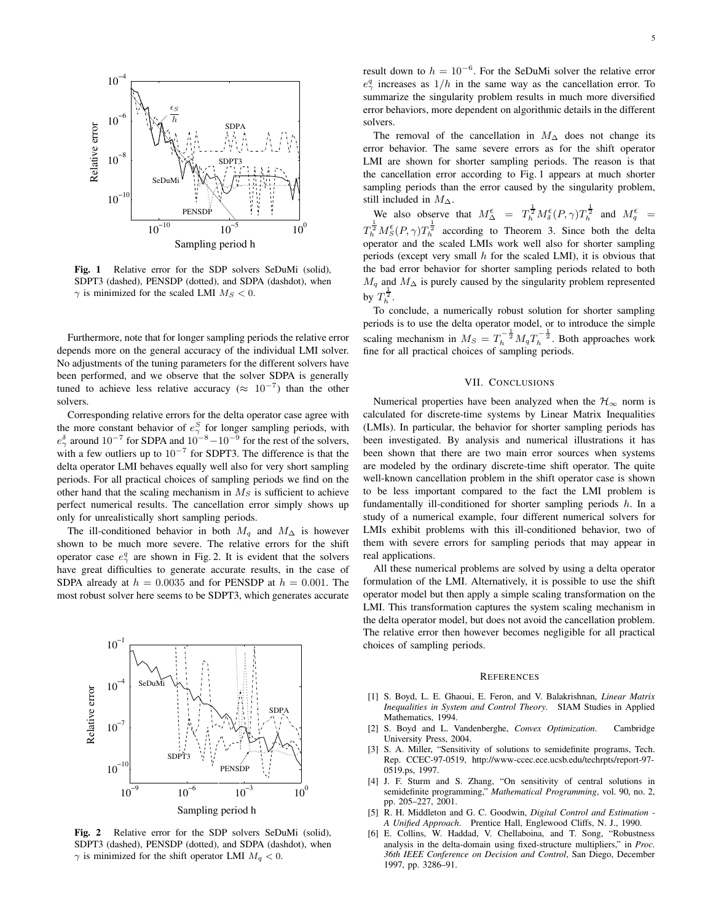

**Fig. 1** Relative error for the SDP solvers SeDuMi (solid), SDPT3 (dashed), PENSDP (dotted), and SDPA (dashdot), when  $\gamma$  is minimized for the scaled LMI  $M_S < 0$ .

Furthermore, note that for longer sampling periods the relative error depends more on the general accuracy of the individual LMI solver. No adjustments of the tuning parameters for the different solvers have been performed, and we observe that the solver SDPA is generally tuned to achieve less relative accuracy ( $\approx 10^{-7}$ ) than the other solvers.

Corresponding relative errors for the delta operator case agree with the more constant behavior of  $e^S_\gamma$  for longer sampling periods, with  $e^{\delta}_{\gamma}$  around  $10^{-7}$  for SDPA and  $10^{-8}-10^{-9}$  for the rest of the solvers, with a few outliers up to  $10^{-7}$  for SDPT3. The difference is that the delta operator LMI behaves equally well also for very short sampling periods. For all practical choices of sampling periods we find on the other hand that the scaling mechanism in  $M_S$  is sufficient to achieve perfect numerical results. The cancellation error simply shows up only for unrealistically short sampling periods.

The ill-conditioned behavior in both  $M_q$  and  $M_\Delta$  is however shown to be much more severe. The relative errors for the shift operator case  $e^q_\gamma$  are shown in Fig. 2. It is evident that the solvers have great difficulties to generate accurate results, in the case of SDPA already at  $h = 0.0035$  and for PENSDP at  $h = 0.001$ . The most robust solver here seems to be SDPT3, which generates accurate



**Fig. 2** Relative error for the SDP solvers SeDuMi (solid), SDPT3 (dashed), PENSDP (dotted), and SDPA (dashdot), when  $\gamma$  is minimized for the shift operator LMI  $M_q < 0$ .

result down to  $h = 10^{-6}$ . For the SeDuMi solver the relative error  $e^q$  increases as  $1/h$  in the same way as the cancellation error. To summarize the singularity problem results in much more diversified error behaviors, more dependent on algorithmic details in the different solvers.

The removal of the cancellation in  $M<sub>∆</sub>$  does not change its error behavior. The same severe errors as for the shift operator LMI are shown for shorter sampling periods. The reason is that the cancellation error according to Fig. 1 appears at much shorter sampling periods than the error caused by the singularity problem, still included in  $M_{\Delta}$ .

We also observe that  $M^{\epsilon}_{\Delta} = T^{\frac{1}{2}}_h M^{\epsilon}_\delta(P, \gamma) T^{\frac{1}{2}}_h$  and  $M^{\epsilon}_q =$  $T_h^{\frac{1}{2}} M_S^{\epsilon}(P, \gamma) T_h^{\frac{1}{2}}$  according to Theorem 3. Since both the delta operator and the scaled LMIs work well also for shorter sampling periods (except very small  $h$  for the scaled LMI), it is obvious that the bad error behavior for shorter sampling periods related to both  $M_q$  and  $M_\Delta$  is purely caused by the singularity problem represented by  $T_h^{\frac{1}{2}}$ .

To conclude, a numerically robust solution for shorter sampling periods is to use the delta operator model, or to introduce the simple scaling mechanism in  $M_S = T_h^{-\frac{1}{2}} M_q T_h^{-\frac{1}{2}}$ . Both approaches work fine for all practical choices of sampling periods.

## VII. CONCLUSIONS

Numerical properties have been analyzed when the  $\mathcal{H}_{\infty}$  norm is calculated for discrete-time systems by Linear Matrix Inequalities (LMIs). In particular, the behavior for shorter sampling periods has been investigated. By analysis and numerical illustrations it has been shown that there are two main error sources when systems are modeled by the ordinary discrete-time shift operator. The quite well-known cancellation problem in the shift operator case is shown to be less important compared to the fact the LMI problem is fundamentally ill-conditioned for shorter sampling periods  $h$ . In a study of a numerical example, four different numerical solvers for LMIs exhibit problems with this ill-conditioned behavior, two of them with severe errors for sampling periods that may appear in real applications.

All these numerical problems are solved by using a delta operator formulation of the LMI. Alternatively, it is possible to use the shift operator model but then apply a simple scaling transformation on the LMI. This transformation captures the system scaling mechanism in the delta operator model, but does not avoid the cancellation problem. The relative error then however becomes negligible for all practical choices of sampling periods.

#### **REFERENCES**

- [1] S. Boyd, L. E. Ghaoui, E. Feron, and V. Balakrishnan, *Linear Matrix Inequalities in System and Control Theory*. SIAM Studies in Applied Mathematics, 1994.
- [2] S. Boyd and L. Vandenberghe, *Convex Optimization*. Cambridge University Press, 2004.
- [3] S. A. Miller, "Sensitivity of solutions to semidefinite programs, Tech. Rep. CCEC-97-0519, http://www-ccec.ece.ucsb.edu/techrpts/report-97- 0519.ps, 1997.
- [4] J. F. Sturm and S. Zhang, "On sensitivity of central solutions in semidefinite programming," *Mathematical Programming*, vol. 90, no. 2, pp. 205–227, 2001.
- [5] R. H. Middleton and G. C. Goodwin, *Digital Control and Estimation - A Unified Approach*. Prentice Hall, Englewood Cliffs, N. J., 1990.
- [6] E. Collins, W. Haddad, V. Chellaboina, and T. Song, "Robustness analysis in the delta-domain using fixed-structure multipliers," in *Proc. 36th IEEE Conference on Decision and Control*, San Diego, December 1997, pp. 3286–91.